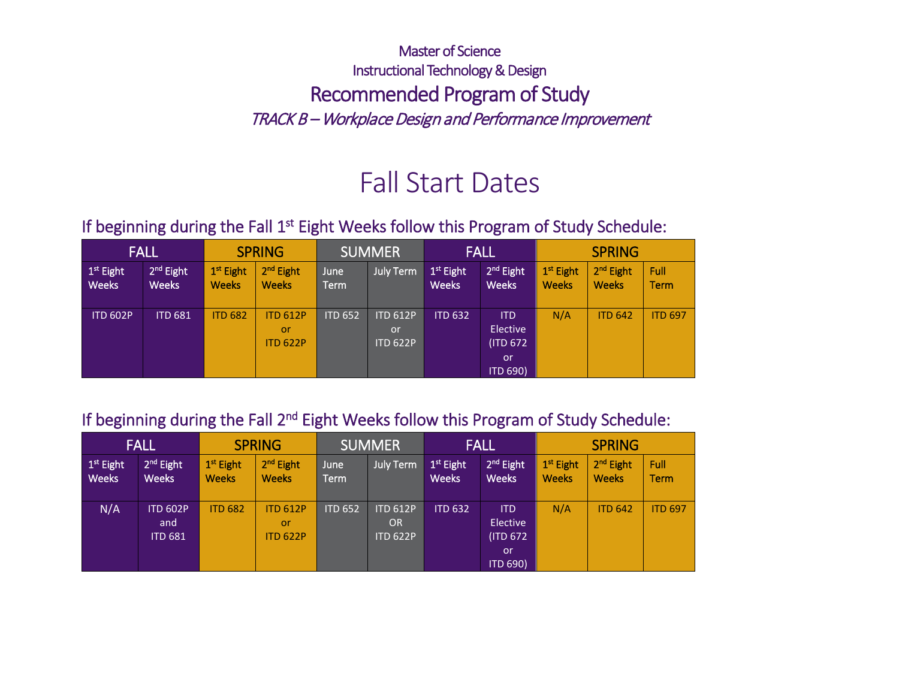## Master of Science Instructional Technology & Design Recommended Program of Study TRACK B – Workplace Design and Performance Improvement

# Fall Start Dates

### If beginning during the Fall 1<sup>st</sup> Eight Weeks follow this Program of Study Schedule:

|                                       | <b>FALL</b>          |                                       | <b>SPRING</b>                            |                     | <b>SUMMER</b>                            |                             | <b>FALL</b>                                           | <b>SPRING</b>               |                                       |                |
|---------------------------------------|----------------------|---------------------------------------|------------------------------------------|---------------------|------------------------------------------|-----------------------------|-------------------------------------------------------|-----------------------------|---------------------------------------|----------------|
| 1 <sup>st</sup> Eight<br><b>Weeks</b> | $2nd$ Eight<br>Weeks | 1 <sup>st</sup> Eight<br><b>Weeks</b> | 2 <sup>nd</sup> Eight<br><b>Weeks</b>    | June<br><b>Term</b> | <b>July Term</b>                         | $1st$ Eight<br><b>Weeks</b> | 2 <sup>nd</sup> Eight<br><b>Weeks</b>                 | $1st$ Eight<br><b>Weeks</b> | 2 <sup>nd</sup> Eight<br><b>Weeks</b> | Full<br>Term   |
| <b>ITD 602P</b>                       | <b>ITD 681</b>       | <b>ITD 682</b>                        | <b>ITD 612P</b><br>or<br><b>ITD 622P</b> | <b>ITD 652</b>      | <b>ITD 612P</b><br>or<br><b>ITD 622P</b> | <b>ITD 632</b>              | <b>ITD</b><br>Elective<br>(ITD 672)<br>or<br>ITD 690) | N/A                         | <b>ITD 642</b>                        | <b>ITD 697</b> |

#### If beginning during the Fall 2<sup>nd</sup> Eight Weeks follow this Program of Study Schedule:

|                                       | <b>FALL</b>                              |                                       | <b>SPRING</b><br><b>SUMMER</b>           |                |                                                 | <b>FALL</b>                 |                                                               | <b>SPRING</b>                         |                                       |                     |
|---------------------------------------|------------------------------------------|---------------------------------------|------------------------------------------|----------------|-------------------------------------------------|-----------------------------|---------------------------------------------------------------|---------------------------------------|---------------------------------------|---------------------|
| 1 <sup>st</sup> Eight<br><b>Weeks</b> | 2 <sup>nd</sup> Eight<br><b>Weeks</b>    | 1 <sup>st</sup> Eight<br><b>Weeks</b> | 2 <sup>nd</sup> Eight<br><b>Weeks</b>    | June<br>Term   | July Term                                       | $1st$ Eight<br><b>Weeks</b> | 2 <sup>nd</sup> Eight<br><b>Weeks</b>                         | 1 <sup>st</sup> Eight<br><b>Weeks</b> | 2 <sup>nd</sup> Eight<br><b>Weeks</b> | Full<br><b>Term</b> |
| N/A                                   | <b>ITD 602P</b><br>and<br><b>ITD 681</b> | <b>ITD 682</b>                        | <b>ITD 612P</b><br>or<br><b>ITD 622P</b> | <b>ITD 652</b> | <b>ITD 612P</b><br><b>OR</b><br><b>ITD 622P</b> | <b>ITD 632</b>              | <b>ITD</b><br>Elective<br>(ITD 672)<br>.or<br><b>ITD 690)</b> | N/A                                   | <b>ITD 642</b>                        | <b>ITD 697</b>      |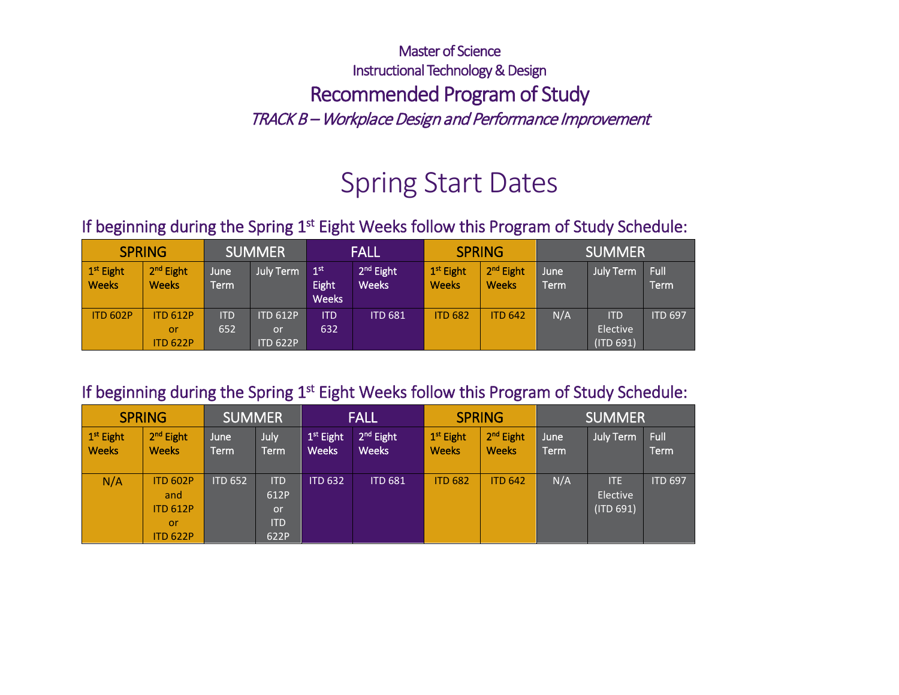## Master of Science Instructional Technology & Design Recommended Program of Study TRACK B – Workplace Design and Performance Improvement

# Spring Start Dates

### If beginning during the Spring 1<sup>st</sup> Eight Weeks follow this Program of Study Schedule:

| <b>SPRING</b>                         |                                                 | <b>SUMMER</b>     |                                          | <b>FALL</b>                              |                                       | <b>SPRING</b>                         |                                       | <b>SUMMER</b> |                                     |                     |
|---------------------------------------|-------------------------------------------------|-------------------|------------------------------------------|------------------------------------------|---------------------------------------|---------------------------------------|---------------------------------------|---------------|-------------------------------------|---------------------|
| 1 <sup>st</sup> Eight<br><b>Weeks</b> | 2 <sup>nd</sup> Eight<br><b>Weeks</b>           | June<br>Term      | <b>July Term</b>                         | 1 <sup>st</sup><br>Eight<br><b>Weeks</b> | 2 <sup>nd</sup> Eight<br><b>Weeks</b> | 1 <sup>st</sup> Eight<br><b>Weeks</b> | 2 <sup>nd</sup> Eight<br><b>Weeks</b> | June<br>Term  | <b>July Term</b>                    | Full<br><b>Term</b> |
| <b>ITD 602P</b>                       | <b>ITD 612P</b><br><b>or</b><br><b>ITD 622P</b> | <b>ITD</b><br>652 | <b>ITD 612P</b><br>or<br><b>ITD 622P</b> | <b>ITD</b><br>632                        | <b>ITD 681</b>                        | <b>ITD 682</b>                        | <b>ITD 642</b>                        | N/A           | <b>ITD</b><br>Elective<br>(ITD 691) | <b>ITD 697</b>      |

#### If beginning during the Spring 1<sup>st</sup> Eight Weeks follow this Program of Study Schedule:

|                                       | <b>SPRING</b>                                                      | <b>SUMMER</b>  |                                                |                             | FALL                                  |                                       | <b>SPRING</b>                         | <b>SUMMER</b> |                                     |                     |
|---------------------------------------|--------------------------------------------------------------------|----------------|------------------------------------------------|-----------------------------|---------------------------------------|---------------------------------------|---------------------------------------|---------------|-------------------------------------|---------------------|
| 1 <sup>st</sup> Eight<br><b>Weeks</b> | 2 <sup>nd</sup> Eight<br><b>Weeks</b>                              | June<br>Term   | July<br><b>Term</b>                            | $1st$ Eight<br><b>Weeks</b> | 2 <sup>nd</sup> Eight<br><b>Weeks</b> | 1 <sup>st</sup> Eight<br><b>Weeks</b> | 2 <sup>nd</sup> Eight<br><b>Weeks</b> | June<br>Term  | July Term                           | Full<br><b>Term</b> |
| N/A                                   | <b>ITD 602P</b><br>and<br><b>ITD 612P</b><br>or<br><b>ITD 622P</b> | <b>ITD 652</b> | <b>ITD</b><br>612P<br>or<br><b>ITD</b><br>622P | <b>ITD 632</b>              | <b>ITD 681</b>                        | <b>ITD 682</b>                        | <b>ITD 642</b>                        | N/A           | <b>ITE</b><br>Elective<br>(ITD 691) | <b>ITD 697</b>      |